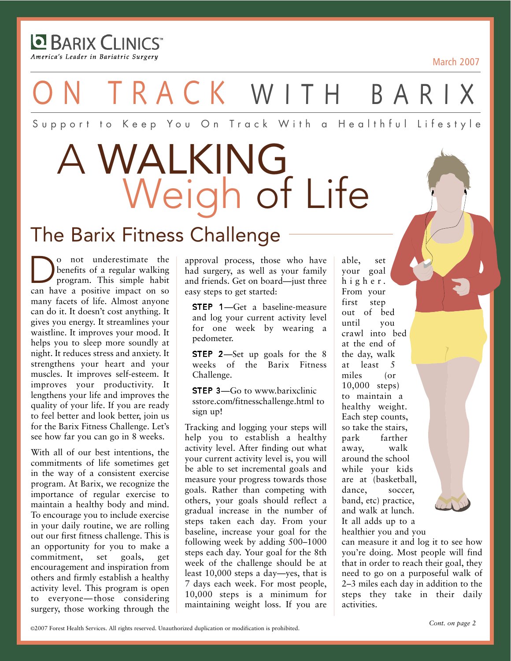**E** BARIX CLINICS America's Leader in Bariatric Surgery

March 2007

ON TRACK WITH BARIX

Support to Keep You On Track With a Healthful Lifestyle

# A WALKING Weigh of Life

## The Barix Fitness Challenge

o not underestimate the<br>benefits of a regular walking<br>program. This simple habit benefits of a regular walking program. This simple habit can have a positive impact on so many facets of life. Almost anyone can do it. It doesn't cost anything. It gives you energy. It streamlines your waistline. It improves your mood. It helps you to sleep more soundly at night. It reduces stress and anxiety. It strengthens your heart and your muscles. It improves self-esteem. It improves your productivity. It lengthens your life and improves the quality of your life. If you are ready to feel better and look better, join us for the Barix Fitness Challenge. Let's see how far you can go in 8 weeks.

With all of our best intentions, the commitments of life sometimes get in the way of a consistent exercise program. At Barix, we recognize the importance of regular exercise to maintain a healthy body and mind. To encourage you to include exercise in your daily routine, we are rolling out our first fitness challenge. This is an opportunity for you to make a commitment, set goals, get encouragement and inspiration from others and firmly establish a healthy activity level. This program is open to everyone—those considering surgery, those working through the

approval process, those who have had surgery, as well as your family and friends. Get on board—just three easy steps to get started:

STEP 1—Get a baseline-measure and log your current activity level for one week by wearing a pedometer.

**STEP 2**—Set up goals for the 8 weeks of the Barix Fitness Challenge.

**STEP 3**—Go to www.barixclinic sstore.com/fitnesschallenge.html to sign up!

Tracking and logging your steps will help you to establish a healthy activity level. After finding out what your current activity level is, you will be able to set incremental goals and measure your progress towards those goals. Rather than competing with others, your goals should reflect a gradual increase in the number of steps taken each day. From your baseline, increase your goal for the following week by adding 500–1000 steps each day. Your goal for the 8th week of the challenge should be at least 10,000 steps a day—yes, that is 7 days each week. For most people, 10,000 steps is a minimum for maintaining weight loss. If you are

able, set your goal higher. From your first step out of bed until you crawl into bed at the end of the day, walk at least 5 miles (or 10,000 steps) to maintain a healthy weight. Each step counts, so take the stairs, park farther away, walk around the school while your kids are at (basketball, dance, soccer, band, etc) practice, and walk at lunch. It all adds up to a healthier you and you

can measure it and log it to see how you're doing. Most people will find that in order to reach their goal, they need to go on a purposeful walk of 2–3 miles each day in addition to the steps they take in their daily activities.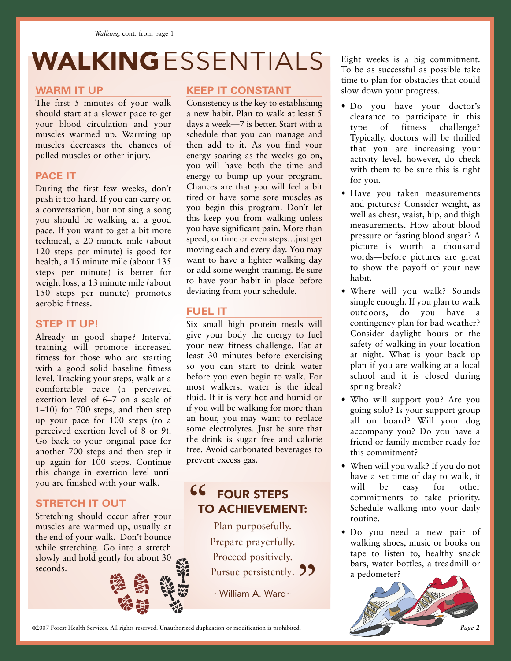## WALKINGESSENTIALS Eight weeks is a big commitment.

#### **WARM IT UP**

The first 5 minutes of your walk should start at a slower pace to get your blood circulation and your muscles warmed up. Warming up muscles decreases the chances of pulled muscles or other injury.

### **PACE IT**

During the first few weeks, don't push it too hard. If you can carry on a conversation, but not sing a song you should be walking at a good pace. If you want to get a bit more technical, a 20 minute mile (about 120 steps per minute) is good for health, a 15 minute mile (about 135 steps per minute) is better for weight loss, a 13 minute mile (about 150 steps per minute) promotes aerobic fitness.

#### **STEP IT UP!**

Already in good shape? Interval training will promote increased fitness for those who are starting with a good solid baseline fitness level. Tracking your steps, walk at a comfortable pace (a perceived exertion level of 6–7 on a scale of 1–10) for 700 steps, and then step up your pace for 100 steps (to a perceived exertion level of 8 or 9). Go back to your original pace for another 700 steps and then step it up again for 100 steps. Continue this change in exertion level until you are finished with your walk.

### **STRETCH IT OUT**

Stretching should occur after your muscles are warmed up, usually at the end of your walk. Don't bounce while stretching. Go into a stretch slowly and hold gently for about 30 seconds.

### **KEEP IT CONSTANT**

Consistency is the key to establishing a new habit. Plan to walk at least 5 days a week—7 is better. Start with a schedule that you can manage and then add to it. As you find your energy soaring as the weeks go on, you will have both the time and energy to bump up your program. Chances are that you will feel a bit tired or have some sore muscles as you begin this program. Don't let this keep you from walking unless you have significant pain. More than speed, or time or even steps…just get moving each and every day. You may want to have a lighter walking day or add some weight training. Be sure to have your habit in place before deviating from your schedule.

### **FUEL IT**

Six small high protein meals will give your body the energy to fuel your new fitness challenge. Eat at least 30 minutes before exercising so you can start to drink water before you even begin to walk. For most walkers, water is the ideal fluid. If it is very hot and humid or if you will be walking for more than an hour, you may want to replace some electrolytes. Just be sure that the drink is sugar free and calorie free. Avoid carbonated beverages to prevent excess gas.

### FOUR STEPS TO ACHIEVEMENT:  $\epsilon$

Plan purposefully. Prepare prayerfully. Proceed positively. Pursue persistently. **99**<br>~William A. Ward~

~William A. Ward~

To be as successful as possible take time to plan for obstacles that could slow down your progress.

- Do you have your doctor's clearance to participate in this type of fitness challenge? Typically, doctors will be thrilled that you are increasing your activity level, however, do check with them to be sure this is right for you.
- Have you taken measurements and pictures? Consider weight, as well as chest, waist, hip, and thigh measurements. How about blood pressure or fasting blood sugar? A picture is worth a thousand words—before pictures are great to show the payoff of your new habit.
- Where will you walk? Sounds simple enough. If you plan to walk outdoors, do you have a contingency plan for bad weather? Consider daylight hours or the safety of walking in your location at night. What is your back up plan if you are walking at a local school and it is closed during spring break?
- Who will support you? Are you going solo? Is your support group all on board? Will your dog accompany you? Do you have a friend or family member ready for this commitment?
- When will you walk? If you do not have a set time of day to walk, it will be easy for other commitments to take priority. Schedule walking into your daily routine.
- Do you need a new pair of walking shoes, music or books on tape to listen to, healthy snack bars, water bottles, a treadmill or a pedometer?



©2007 Forest Health Services. All rights reserved. Unauthorized duplication or modification is prohibited. *Page 2*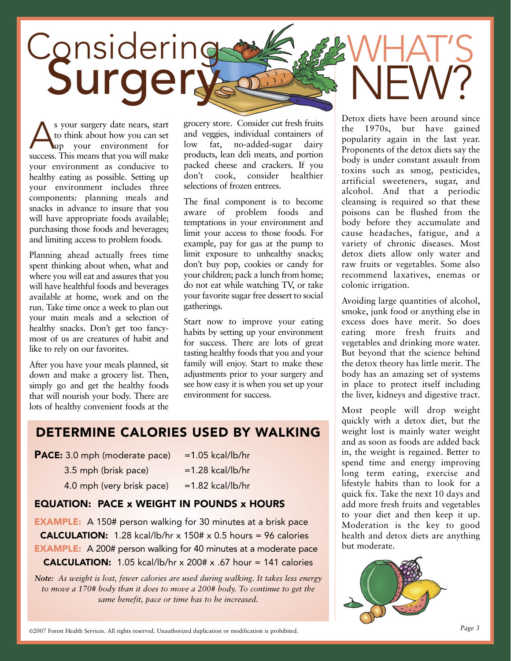

S your surgery date nears, start<br>to think about how you can set<br>success This means that you will make to think about how you can set up your environment for success. This means that you will make your environment as conducive to healthy eating as possible. Setting up your environment includes three components: planning meals and snacks in advance to insure that you will have appropriate foods available; purchasing those foods and beverages; and limiting access to problem foods.

Planning ahead actually frees time spent thinking about when, what and where you will eat and assures that you will have healthful foods and beverages available at home, work and on the run. Take time once a week to plan out your main meals and a selection of healthy snacks. Don't get too fancymost of us are creatures of habit and like to rely on our favorites.

After you have your meals planned, sit down and make a grocery list. Then, simply go and get the healthy foods that will nourish your body. There are lots of healthy convenient foods at the grocery store. Consider cut fresh fruits and veggies, individual containers of low fat, no-added-sugar dairy products, lean deli meats, and portion packed cheese and crackers. If you don't cook, consider healthier selections of frozen entrees.

The final component is to become aware of problem foods and temptations in your environment and limit your access to those foods. For example, pay for gas at the pump to limit exposure to unhealthy snacks; don't buy pop, cookies or candy for your children; pack a lunch from home; do not eat while watching TV, or take your favorite sugar free dessert to social gatherings.

Start now to improve your eating habits by setting up your environment for success. There are lots of great tasting healthy foods that you and your family will enjoy. Start to make these adjustments prior to your surgery and see how easy it is when you set up your environment for success.

### DETERMINE CALORIES USED BY WALKING

| <b>PACE:</b> 3.0 mph (moderate pace) | $=1.05$ kcal/lb/hr  |
|--------------------------------------|---------------------|
| 3.5 mph (brisk pace)                 | $=1.28$ kcal/lb/hr  |
| 4.0 mph (very brisk pace)            | $= 1.82$ kcal/lb/hr |

### EQUATION: PACE x WEIGHT IN POUNDS x HOURS

**EXAMPLE:** A 150# person walking for 30 minutes at a brisk pace **CALCULATION:** 1.28 kcal/lb/hr x 150# x 0.5 hours = 96 calories **EXAMPLE:** A 200# person walking for 40 minutes at a moderate pace  $CALCULATION: 1.05 kcal/lb/hr \times 200 # \times .67 hour = 141 calories$ 

*Note: As weight is lost, fewer calories are used during walking. It takes less energy to move a 170# body than it does to move a 200# body. To continue to get the same benefit, pace or time has to be increased.* 

Detox diets have been around since the 1970s, but have gained popularity again in the last year. Proponents of the detox diets say the body is under constant assault from toxins such as smog, pesticides, artificial sweeteners, sugar, and alcohol. And that a periodic cleansing is required so that these poisons can be flushed from the body before they accumulate and cause headaches, fatigue, and a variety of chronic diseases. Most detox diets allow only water and raw fruits or vegetables. Some also recommend laxatives, enemas or colonic irrigation.

Avoiding large quantities of alcohol, smoke, junk food or anything else in excess does have merit. So does eating more fresh fruits and vegetables and drinking more water. But beyond that the science behind the detox theory has little merit. The body has an amazing set of systems in place to protect itself including the liver, kidneys and digestive tract.

Most people will drop weight quickly with a detox diet, but the weight lost is mainly water weight and as soon as foods are added back in, the weight is regained. Better to spend time and energy improving long term eating, exercise and lifestyle habits than to look for a quick fix. Take the next 10 days and add more fresh fruits and vegetables to your diet and then keep it up. Moderation is the key to good health and detox diets are anything but moderate.

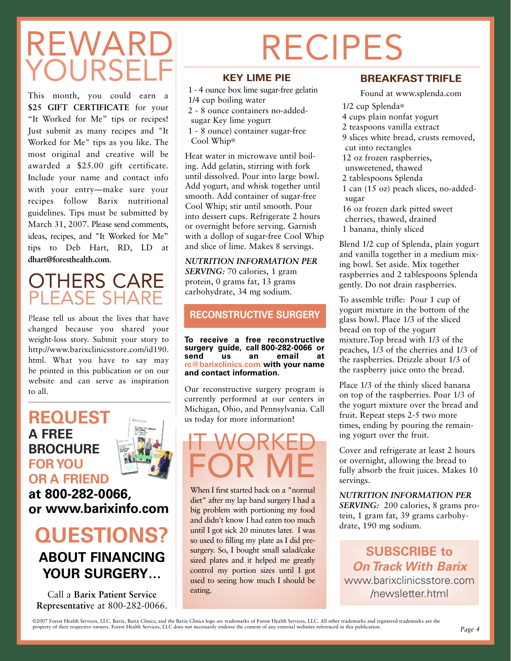## REWARI OURSEL

This month, you could earn a **\$25 GIFT CERTIFICATE** for your "It Worked for Me" tips or recipes! Just submit as many recipes and "It Worked for Me" tips as you like. The most original and creative will be awarded a \$25.00 gift certificate. Include your name and contact info with your entry—make sure your recipes follow Barix nutritional guidelines. Tips must be submitted by March 31, 2007. Please send comments, ideas, recipes, and "It Worked for Me" tips to Deb Hart, RD, LD at **dhart@foresthealth.com**.

## OTHERS CARE PLEASE SHARE

Please tell us about the lives that have changed because you shared your weight-loss story. Submit your story to http://www.barixclinicsstore.com/id190. html. What you have to say may be printed in this publication or on our website and can serve as inspiration to all.

### **REQUEST A FREE BROCHURE FOR YOU OR A FRIEND**

**at 800-282-0066, or www.barixinfo.com**

### **QUESTIONS? ABOUT FINANCING YOUR SURGERY…**

Call a **Barix Patient Service Representativ**e at 800-282-0066.

# RECIPES

### **KEY LIME PIE**

1 - 4 ounce box lime sugar-free gelatin 1/4 cup boiling water 2 - 8 ounce containers no-addedsugar Key lime yogurt 1 - 8 ounce) container sugar-free Cool Whip® Heat water in microwave until boiling. Add gelatin, stirring with fork until dissolved. Pour into large bowl. Add yogurt, and whisk together until

smooth. Add container of sugar-free Cool Whip; stir until smooth. Pour into dessert cups. Refrigerate 2 hours or overnight before serving. Garnish with a dollop of sugar-free Cool Whip and slice of lime. Makes 8 servings.

*NUTRITION INFORMATION PER SERVING:* 70 calories, 1 gram protein, 0 grams fat, 13 grams carbohydrate, 34 mg sodium.

r

### **RECONSTRUCTIVE SURGERY**

**To receive a free reconstructive surgery guide, call 800-282-0066 or email rc@barixclinics.com with your name and contact information.**

Our reconstructive surgery program is currently performed at our centers in Michigan, Ohio, and Pennsylvania. Call us today for more information!



When I first started back on a "normal diet" after my lap band surgery I had a big problem with portioning my food and didn't know I had eaten too much until I got sick 20 minutes later. I was so used to filling my plate as I did presurgery. So, I bought small salad/cake sized plates and it helped me greatly control my portion sizes until I got used to seeing how much I should be eating.

### **BREAKFAST TRIFLE**

Found at www.splenda.com

1/2 cup Splenda® 4 cups plain nonfat yogurt 2 teaspoons vanilla extract 9 slices white bread, crusts removed, cut into rectangles 12 oz frozen raspberries, unsweetened, thawed 2 tablespoons Splenda 1 can (15 oz) peach slices, no-addedsugar 16 oz frozen dark pitted sweet cherries, thawed, drained 1 banana, thinly sliced

Blend 1/2 cup of Splenda, plain yogurt and vanilla together in a medium mixing bowl. Set aside. Mix together raspberries and 2 tablespoons Splenda gently. Do not drain raspberries.

To assemble trifle: Pour 1 cup of yogurt mixture in the bottom of the glass bowl. Place 1/3 of the sliced bread on top of the yogurt mixture.Top bread with 1/3 of the peaches, 1/3 of the cherries and 1/3 of the raspberries. Drizzle about 1/3 of the raspberry juice onto the bread.

Place 1/3 of the thinly sliced banana on top of the raspberries. Pour 1/3 of the yogurt mixture over the bread and fruit. Repeat steps 2-5 two more times, ending by pouring the remaining yogurt over the fruit.

Cover and refrigerate at least 2 hours or overnight, allowing the bread to fully absorb the fruit juices. Makes 10 servings.

*NUTRITION INFORMATION PER SERVING:* 200 calories, 8 grams protein, 1 gram fat, 39 grams carbohydrate, 190 mg sodium.

**SUBSCRIBE to On Track With Barix** www.barixclinicsstore.com /newsletter.html